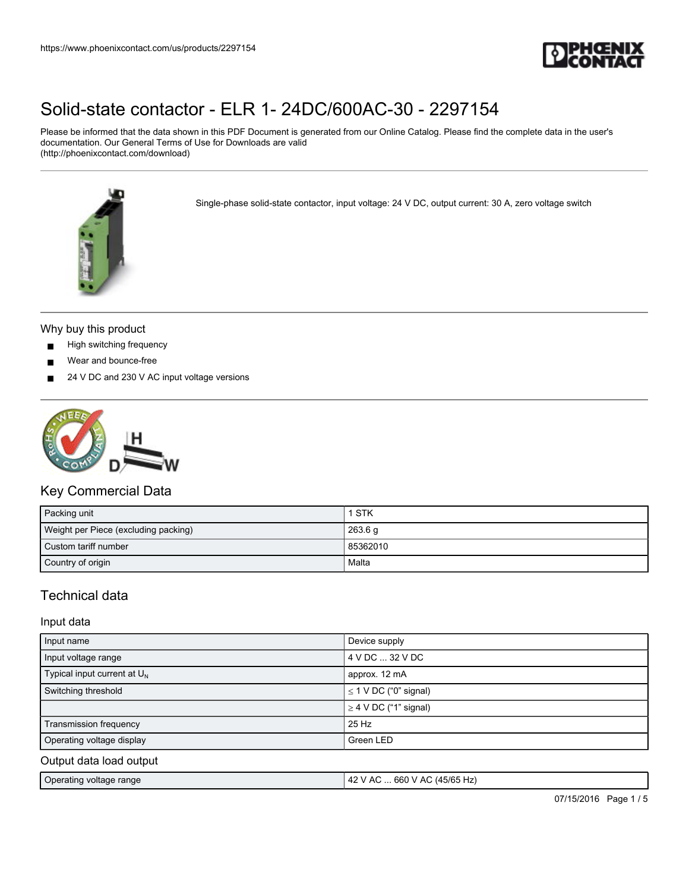

Please be informed that the data shown in this PDF Document is generated from our Online Catalog. Please find the complete data in the user's documentation. Our General Terms of Use for Downloads are valid (http://phoenixcontact.com/download)



Single-phase solid-state contactor, input voltage: 24 V DC, output current: 30 A, zero voltage switch



- High switching frequency
- Wear and bounce-free
- 24 V DC and 230 V AC input voltage versions



### Key Commercial Data

| Packing unit                         | I STK    |
|--------------------------------------|----------|
| Weight per Piece (excluding packing) | 263.6 g  |
| Custom tariff number                 | 85362010 |
| Country of origin                    | Malta    |

### Technical data

### Input data

| Input name                        | Device supply              |
|-----------------------------------|----------------------------|
| Input voltage range               | 4 V DC  32 V DC            |
| Typical input current at $U_N$    | approx. 12 mA              |
| Switching threshold               | $\leq$ 1 V DC ("0" signal) |
|                                   | $\geq$ 4 V DC ("1" signal) |
| Transmission frequency            | 25 Hz                      |
| Operating voltage display         | Green LED                  |
| Output data load output           |                            |
| the control of the control of the |                            |

| Operating voltage range | :  660 V AC (45/65 Hz)<br>42<br>`AC |
|-------------------------|-------------------------------------|
|                         |                                     |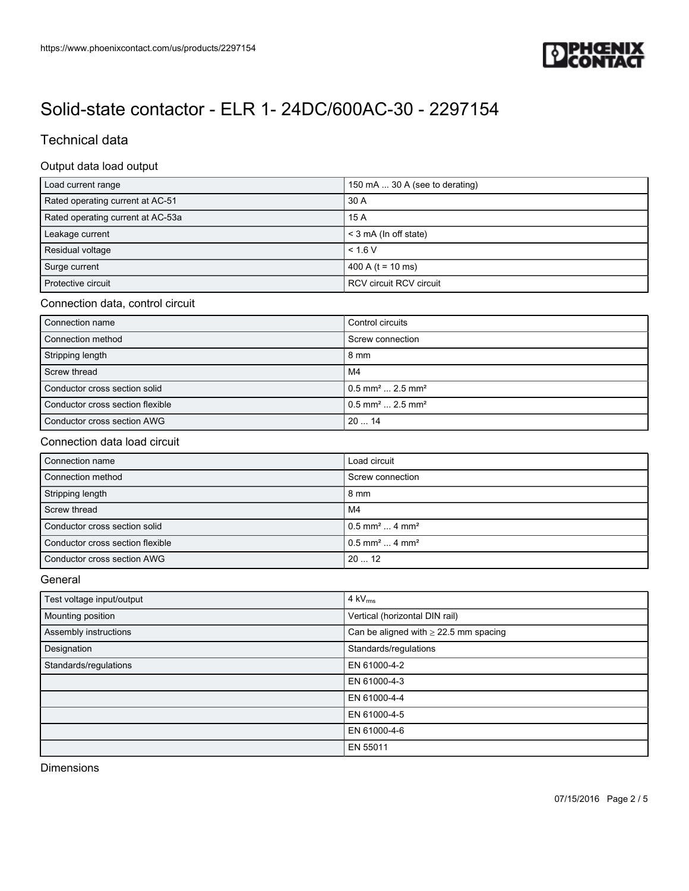

### Technical data

### Output data load output

| Load current range                | 150 mA  30 A (see to derating) |
|-----------------------------------|--------------------------------|
| Rated operating current at AC-51  | 30 A                           |
| Rated operating current at AC-53a | 15 A                           |
| Leakage current                   | < 3 mA (In off state)          |
| Residual voltage                  | < 1.6 V                        |
| Surge current                     | 400 A ( $t = 10$ ms)           |
| Protective circuit                | <b>RCV circuit RCV circuit</b> |

### Connection data, control circuit

| Connection name                  | Control circuits                           |
|----------------------------------|--------------------------------------------|
| Connection method                | Screw connection                           |
| Stripping length                 | $8 \text{ mm}$                             |
| Screw thread                     | M4                                         |
| Conductor cross section solid    | $10.5$ mm <sup>2</sup> 2.5 mm <sup>2</sup> |
| Conductor cross section flexible | $10.5$ mm <sup>2</sup> 2.5 mm <sup>2</sup> |
| Conductor cross section AWG      | 2014                                       |

### Connection data load circuit

| Connection name                  | Load circuit                            |
|----------------------------------|-----------------------------------------|
| Connection method                | Screw connection                        |
| Stripping length                 | 8 mm                                    |
| Screw thread                     | M4                                      |
| Conductor cross section solid    | $0.5$ mm <sup>2</sup> 4 mm <sup>2</sup> |
| Conductor cross section flexible | $0.5$ mm <sup>2</sup> 4 mm <sup>2</sup> |
| Conductor cross section AWG      | 2012                                    |

#### General

| Test voltage input/output | $4$ kV $_{rms}$                            |
|---------------------------|--------------------------------------------|
| Mounting position         | Vertical (horizontal DIN rail)             |
| Assembly instructions     | Can be aligned with $\geq$ 22.5 mm spacing |
| Designation               | Standards/regulations                      |
| Standards/regulations     | EN 61000-4-2                               |
|                           | EN 61000-4-3                               |
|                           | EN 61000-4-4                               |
|                           | EN 61000-4-5                               |
|                           | EN 61000-4-6                               |
|                           | EN 55011                                   |

Dimensions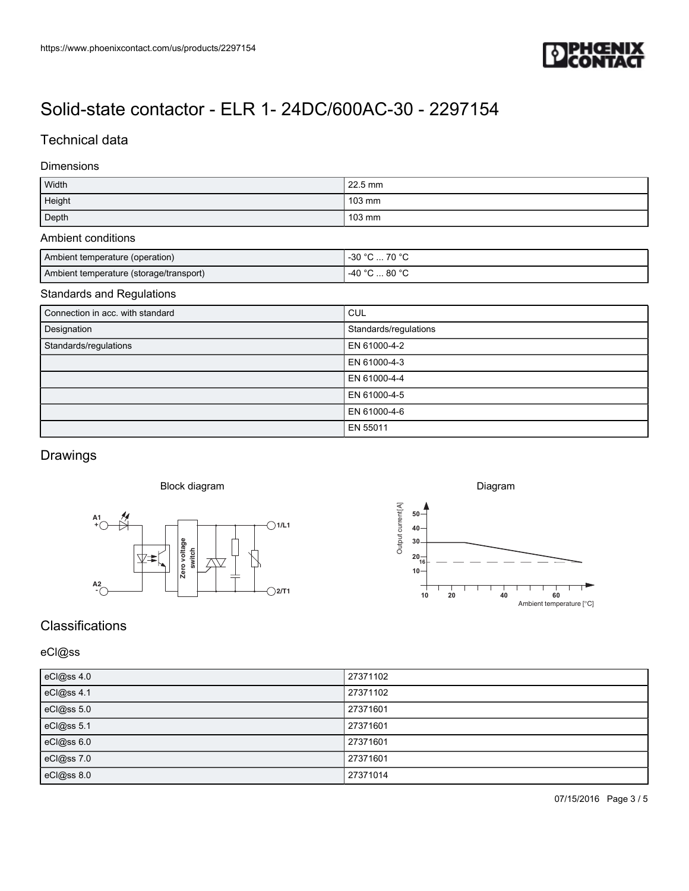

### Technical data

#### Dimensions

| Width  | 22.5 mm          |
|--------|------------------|
| Height | 103 mm           |
| Depth  | $103 \text{ mm}$ |

### Ambient conditions

| Ambient temperature (operation)         | 7000<br>$\Omega$<br>-၁૫                |
|-----------------------------------------|----------------------------------------|
| Ambient temperature (storage/transport) | . 80 °C<br>$\lambda$ $\Omega$ $\Omega$ |

### Standards and Regulations

| Connection in acc. with standard | <b>CUL</b>            |
|----------------------------------|-----------------------|
| Designation                      | Standards/regulations |
| Standards/regulations            | EN 61000-4-2          |
|                                  | EN 61000-4-3          |
|                                  | EN 61000-4-4          |
|                                  | EN 61000-4-5          |
|                                  | EN 61000-4-6          |
|                                  | EN 55011              |

## Drawings

#### Block diagram





## **Classifications**

### eCl@ss

| eCl@ss 4.0 | 27371102 |
|------------|----------|
| eCl@ss 4.1 | 27371102 |
| eCl@ss 5.0 | 27371601 |
| eCl@ss 5.1 | 27371601 |
| eCl@ss 6.0 | 27371601 |
| eCl@ss 7.0 | 27371601 |
| eCl@ss 8.0 | 27371014 |

07/15/2016 Page 3 / 5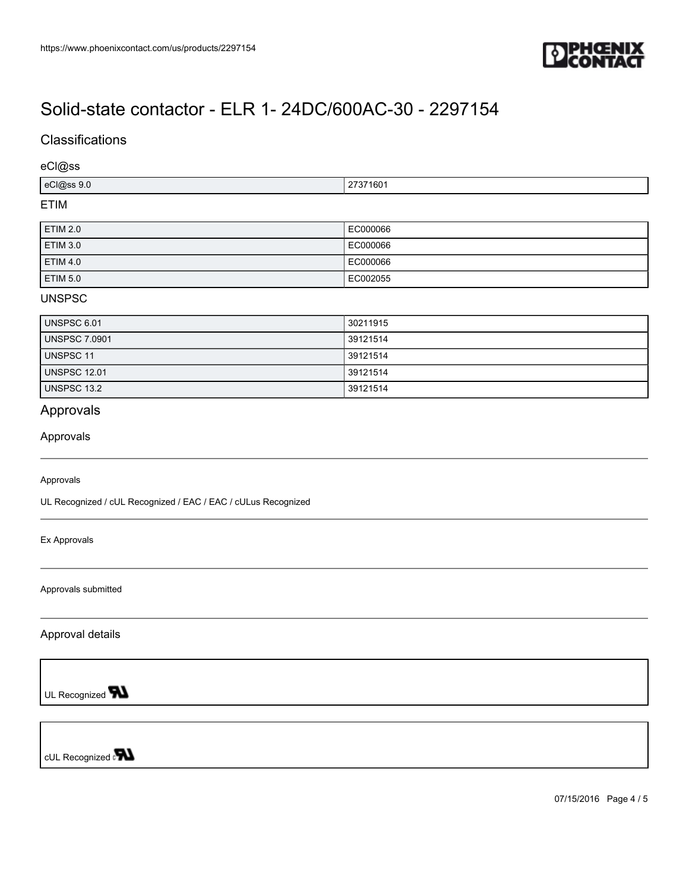

### **Classifications**

eCl@ss

| eCl@ss 9.0 | $\sim$<br>160 <sup>-</sup> |
|------------|----------------------------|
| FTIM       |                            |

#### ETIM

| <b>ETIM 2.0</b> | EC000066  |
|-----------------|-----------|
| <b>ETIM 3.0</b> | LEC000066 |
| <b>ETIM 4.0</b> | LEC000066 |
| <b>ETIM 5.0</b> | EC002055  |

### UNSPSC

| <b>UNSPSC 6.01</b>   | 30211915 |
|----------------------|----------|
| <b>UNSPSC 7.0901</b> | 39121514 |
| <b>UNSPSC 11</b>     | 39121514 |
| <b>UNSPSC 12.01</b>  | 39121514 |
| <b>UNSPSC 13.2</b>   | 39121514 |

## Approvals

#### Approvals

#### Approvals

UL Recognized / cUL Recognized / EAC / EAC / cULus Recognized

Ex Approvals

Approvals submitted

Approval details

UL Recognized **W** 

cUL Recognized on